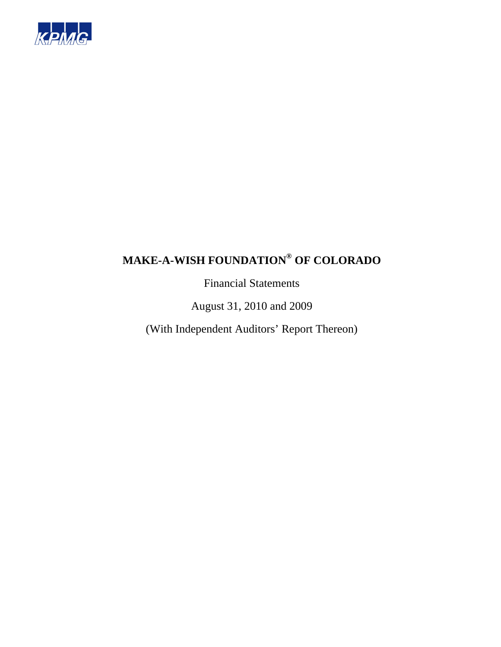

Financial Statements

August 31, 2010 and 2009

(With Independent Auditors' Report Thereon)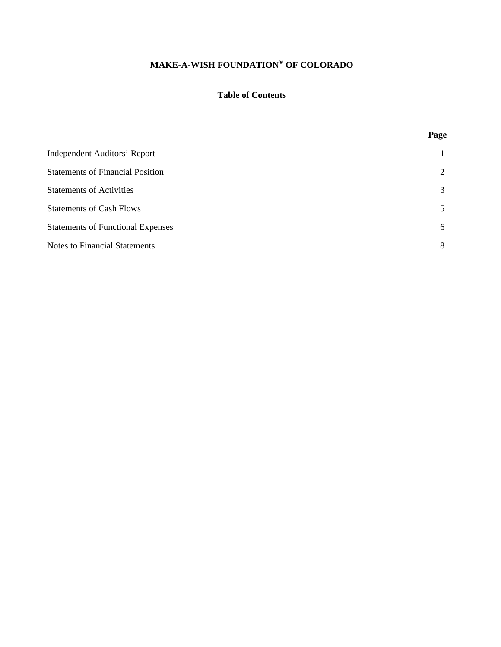### **Table of Contents**

**Page** 

| <b>Independent Auditors' Report</b>      | $\mathbf{1}$ |
|------------------------------------------|--------------|
| <b>Statements of Financial Position</b>  | 2            |
| <b>Statements of Activities</b>          | 3            |
| <b>Statements of Cash Flows</b>          | 5            |
| <b>Statements of Functional Expenses</b> | 6            |
| <b>Notes to Financial Statements</b>     | 8            |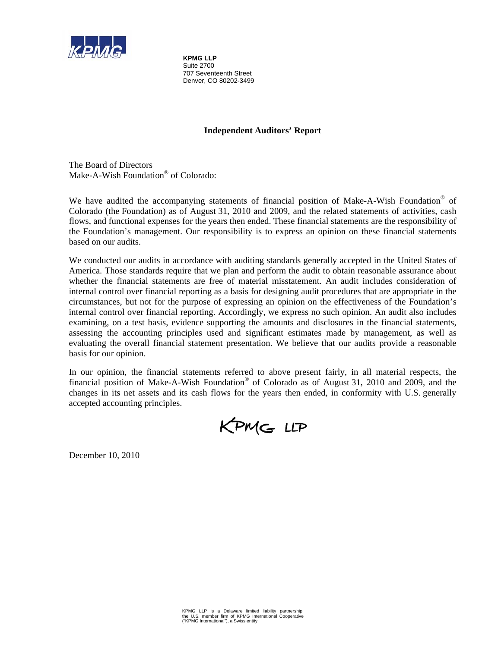

**KPMG LLP**  Suite 2700 707 Seventeenth Street Denver, CO 80202-3499

### **Independent Auditors' Report**

The Board of Directors Make-A-Wish Foundation® of Colorado:

We have audited the accompanying statements of financial position of Make-A-Wish Foundation® of Colorado (the Foundation) as of August 31, 2010 and 2009, and the related statements of activities, cash flows, and functional expenses for the years then ended. These financial statements are the responsibility of the Foundation's management. Our responsibility is to express an opinion on these financial statements based on our audits.

We conducted our audits in accordance with auditing standards generally accepted in the United States of America. Those standards require that we plan and perform the audit to obtain reasonable assurance about whether the financial statements are free of material misstatement. An audit includes consideration of internal control over financial reporting as a basis for designing audit procedures that are appropriate in the circumstances, but not for the purpose of expressing an opinion on the effectiveness of the Foundation's internal control over financial reporting. Accordingly, we express no such opinion. An audit also includes examining, on a test basis, evidence supporting the amounts and disclosures in the financial statements, assessing the accounting principles used and significant estimates made by management, as well as evaluating the overall financial statement presentation. We believe that our audits provide a reasonable basis for our opinion.

In our opinion, the financial statements referred to above present fairly, in all material respects, the financial position of Make-A-Wish Foundation® of Colorado as of August 31, 2010 and 2009, and the changes in its net assets and its cash flows for the years then ended, in conformity with U.S. generally accepted accounting principles.

KPMG LLP

December 10, 2010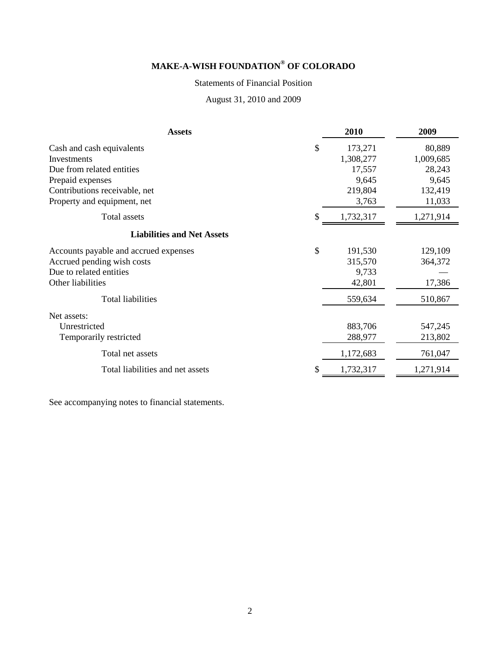### Statements of Financial Position

August 31, 2010 and 2009

| <b>Assets</b>                               | 2010      | 2009      |
|---------------------------------------------|-----------|-----------|
| \$<br>Cash and cash equivalents             | 173,271   | 80,889    |
| Investments                                 | 1,308,277 | 1,009,685 |
| Due from related entities                   | 17,557    | 28,243    |
| Prepaid expenses                            | 9,645     | 9,645     |
| Contributions receivable, net               | 219,804   | 132,419   |
| Property and equipment, net                 | 3,763     | 11,033    |
| Total assets                                | 1,732,317 | 1,271,914 |
| <b>Liabilities and Net Assets</b>           |           |           |
| \$<br>Accounts payable and accrued expenses | 191,530   | 129,109   |
| Accrued pending wish costs                  | 315,570   | 364,372   |
| Due to related entities                     | 9,733     |           |
| Other liabilities                           | 42,801    | 17,386    |
| <b>Total liabilities</b>                    | 559,634   | 510,867   |
| Net assets:                                 |           |           |
| Unrestricted                                | 883,706   | 547,245   |
| Temporarily restricted                      | 288,977   | 213,802   |
| Total net assets                            | 1,172,683 | 761,047   |
| Total liabilities and net assets            | 1,732,317 | 1,271,914 |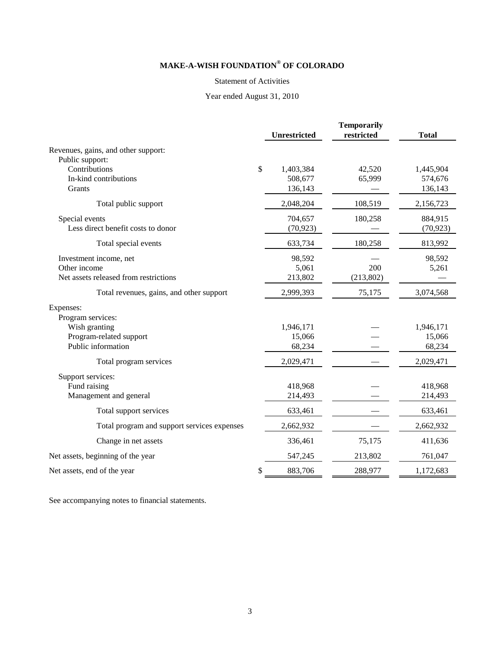#### Statement of Activities

### Year ended August 31, 2010

|                                                        | <b>Unrestricted</b> | <b>Temporarily</b><br>restricted | <b>Total</b> |
|--------------------------------------------------------|---------------------|----------------------------------|--------------|
| Revenues, gains, and other support:<br>Public support: |                     |                                  |              |
| Contributions                                          | \$<br>1,403,384     | 42,520                           | 1,445,904    |
| In-kind contributions                                  | 508,677             | 65,999                           | 574,676      |
| Grants                                                 | 136,143             |                                  | 136,143      |
| Total public support                                   | 2,048,204           | 108,519                          | 2,156,723    |
| Special events                                         | 704,657             | 180,258                          | 884,915      |
| Less direct benefit costs to donor                     | (70, 923)           |                                  | (70, 923)    |
| Total special events                                   | 633,734             | 180,258                          | 813,992      |
| Investment income, net                                 | 98,592              |                                  | 98,592       |
| Other income                                           | 5,061               | 200                              | 5,261        |
| Net assets released from restrictions                  | 213,802             | (213, 802)                       |              |
| Total revenues, gains, and other support               | 2,999,393           | 75,175                           | 3,074,568    |
| Expenses:                                              |                     |                                  |              |
| Program services:                                      |                     |                                  |              |
| Wish granting                                          | 1,946,171           |                                  | 1,946,171    |
| Program-related support                                | 15,066              |                                  | 15,066       |
| Public information                                     | 68,234              |                                  | 68,234       |
| Total program services                                 | 2,029,471           |                                  | 2,029,471    |
| Support services:                                      |                     |                                  |              |
| Fund raising                                           | 418,968             |                                  | 418,968      |
| Management and general                                 | 214,493             |                                  | 214,493      |
| Total support services                                 | 633,461             |                                  | 633,461      |
| Total program and support services expenses            | 2,662,932           |                                  | 2,662,932    |
| Change in net assets                                   | 336,461             | 75,175                           | 411,636      |
| Net assets, beginning of the year                      | 547,245             | 213,802                          | 761,047      |
| Net assets, end of the year                            | \$<br>883,706       | 288,977                          | 1,172,683    |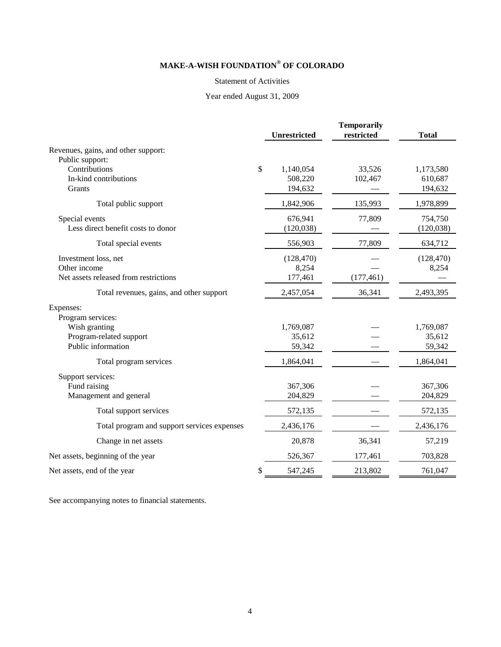#### Statement of Activities

### Year ended August 31, 2009

|                                                        | <b>Unrestricted</b> | <b>Temporarily</b><br>restricted | <b>Total</b> |
|--------------------------------------------------------|---------------------|----------------------------------|--------------|
| Revenues, gains, and other support:<br>Public support: |                     |                                  |              |
| Contributions                                          | \$<br>1,140,054     | 33,526                           | 1,173,580    |
| In-kind contributions                                  | 508,220             | 102,467                          | 610,687      |
| Grants                                                 | 194,632             |                                  | 194,632      |
| Total public support                                   | 1,842,906           | 135,993                          | 1,978,899    |
| Special events                                         | 676,941             | 77,809                           | 754,750      |
| Less direct benefit costs to donor                     | (120, 038)          |                                  | (120, 038)   |
| Total special events                                   | 556,903             | 77,809                           | 634,712      |
| Investment loss, net                                   | (128, 470)          |                                  | (128, 470)   |
| Other income                                           | 8,254               |                                  | 8,254        |
| Net assets released from restrictions                  | 177,461             | (177, 461)                       |              |
| Total revenues, gains, and other support               | 2,457,054           | 36,341                           | 2,493,395    |
| Expenses:                                              |                     |                                  |              |
| Program services:                                      |                     |                                  |              |
| Wish granting                                          | 1,769,087           |                                  | 1,769,087    |
| Program-related support                                | 35,612              |                                  | 35,612       |
| Public information                                     | 59,342              |                                  | 59,342       |
| Total program services                                 | 1,864,041           |                                  | 1,864,041    |
| Support services:                                      |                     |                                  |              |
| Fund raising                                           | 367,306             |                                  | 367,306      |
| Management and general                                 | 204,829             |                                  | 204,829      |
| Total support services                                 | 572,135             |                                  | 572,135      |
| Total program and support services expenses            | 2,436,176           |                                  | 2,436,176    |
| Change in net assets                                   | 20,878              | 36,341                           | 57,219       |
| Net assets, beginning of the year                      | 526,367             | 177,461                          | 703,828      |
| Net assets, end of the year                            | \$<br>547,245       | 213,802                          | 761,047      |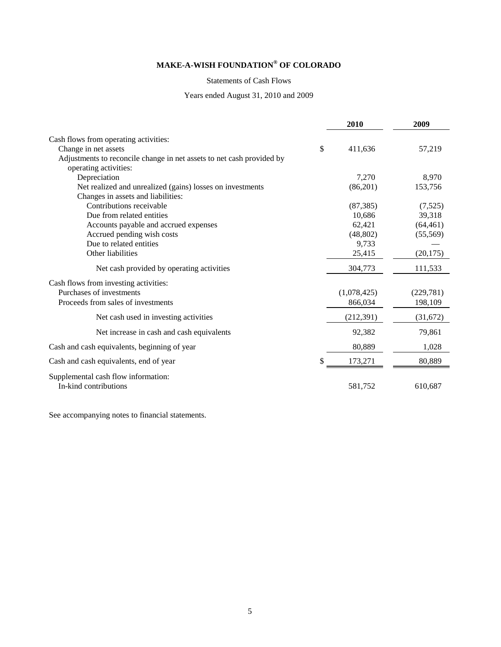#### Statements of Cash Flows

### Years ended August 31, 2010 and 2009

|                                                                       | 2010          | 2009       |
|-----------------------------------------------------------------------|---------------|------------|
| Cash flows from operating activities:                                 |               |            |
| Change in net assets                                                  | \$<br>411,636 | 57,219     |
| Adjustments to reconcile change in net assets to net cash provided by |               |            |
| operating activities:                                                 |               |            |
| Depreciation                                                          | 7,270         | 8,970      |
| Net realized and unrealized (gains) losses on investments             | (86,201)      | 153,756    |
| Changes in assets and liabilities:                                    |               |            |
| Contributions receivable                                              | (87, 385)     | (7,525)    |
| Due from related entities                                             | 10,686        | 39,318     |
| Accounts payable and accrued expenses                                 | 62,421        | (64, 461)  |
| Accrued pending wish costs                                            | (48, 802)     | (55, 569)  |
| Due to related entities                                               | 9,733         |            |
| Other liabilities                                                     | 25,415        | (20, 175)  |
| Net cash provided by operating activities                             | 304,773       | 111,533    |
| Cash flows from investing activities:                                 |               |            |
| Purchases of investments                                              | (1,078,425)   | (229, 781) |
| Proceeds from sales of investments                                    | 866,034       | 198,109    |
| Net cash used in investing activities                                 | (212, 391)    | (31,672)   |
| Net increase in cash and cash equivalents                             | 92,382        | 79,861     |
| Cash and cash equivalents, beginning of year                          | 80,889        | 1,028      |
| Cash and cash equivalents, end of year                                | 173,271       | 80,889     |
| Supplemental cash flow information:<br>In-kind contributions          | 581,752       | 610,687    |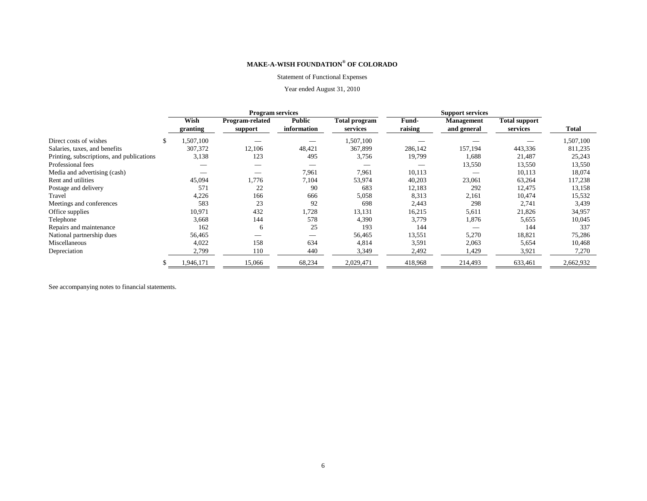#### Statement of Functional Expenses

#### Year ended August 31, 2010

|                                           |           | <b>Program services</b> |               |                      |         | <b>Support services</b> |                      |           |  |
|-------------------------------------------|-----------|-------------------------|---------------|----------------------|---------|-------------------------|----------------------|-----------|--|
|                                           | Wish      | Program-related         | <b>Public</b> | <b>Total program</b> | Fund-   | <b>Management</b>       | <b>Total support</b> |           |  |
|                                           | granting  | support                 | information   | services             | raising | and general             | services             | Total     |  |
| Direct costs of wishes                    | ,507,100  |                         |               | 1,507,100            |         |                         |                      | 1,507,100 |  |
| Salaries, taxes, and benefits             | 307,372   | 12,106                  | 48,421        | 367,899              | 286,142 | 157,194                 | 443,336              | 811,235   |  |
| Printing, subscriptions, and publications | 3,138     | 123                     | 495           | 3,756                | 19,799  | 1,688                   | 21,487               | 25,243    |  |
| Professional fees                         |           |                         |               |                      |         | 13,550                  | 13,550               | 13,550    |  |
| Media and advertising (cash)              |           |                         | 7,961         | 7,961                | 10,113  |                         | 10,113               | 18,074    |  |
| Rent and utilities                        | 45,094    | 1,776                   | 7,104         | 53,974               | 40,203  | 23,061                  | 63,264               | 117,238   |  |
| Postage and delivery                      | 571       | 22                      | 90            | 683                  | 12,183  | 292                     | 12,475               | 13,158    |  |
| Travel                                    | 4,226     | 166                     | 666           | 5,058                | 8,313   | 2,161                   | 10,474               | 15,532    |  |
| Meetings and conferences                  | 583       | 23                      | 92            | 698                  | 2,443   | 298                     | 2,741                | 3.439     |  |
| Office supplies                           | 10,971    | 432                     | 1,728         | 13,131               | 16,215  | 5,611                   | 21,826               | 34,957    |  |
| Telephone                                 | 3,668     | 144                     | 578           | 4,390                | 3,779   | 1,876                   | 5,655                | 10,045    |  |
| Repairs and maintenance                   | 162       | 6                       | 25            | 193                  | 144     |                         | 144                  | 337       |  |
| National partnership dues                 | 56,465    |                         |               | 56,465               | 13,551  | 5,270                   | 18,821               | 75,286    |  |
| Miscellaneous                             | 4,022     | 158                     | 634           | 4,814                | 3,591   | 2,063                   | 5,654                | 10,468    |  |
| Depreciation                              | 2,799     | 110                     | 440           | 3,349                | 2,492   | 1,429                   | 3,921                | 7,270     |  |
|                                           | 1,946,171 | 15,066                  | 68,234        | 2,029,471            | 418,968 | 214,493                 | 633,461              | 2,662,932 |  |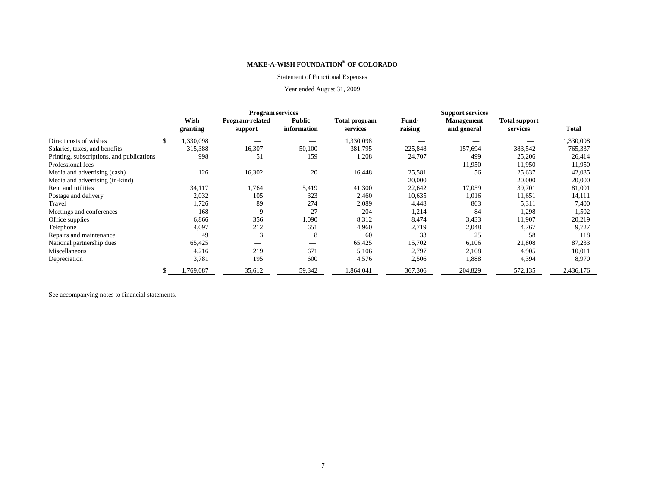#### Statement of Functional Expenses

#### Year ended August 31, 2009

|                                           | <b>Program services</b> |                 |               |               |         |                   |                      |           |
|-------------------------------------------|-------------------------|-----------------|---------------|---------------|---------|-------------------|----------------------|-----------|
|                                           | Wish                    | Program-related | <b>Public</b> | Total program | Fund-   | <b>Management</b> | <b>Total support</b> |           |
|                                           | granting                | support         | information   | services      | raising | and general       | services             | Total     |
| Direct costs of wishes                    | .330,098                |                 |               | 1,330,098     |         |                   |                      | 1,330,098 |
| Salaries, taxes, and benefits             | 315,388                 | 16,307          | 50,100        | 381,795       | 225,848 | 157,694           | 383,542              | 765,337   |
| Printing, subscriptions, and publications | 998                     | 51              | 159           | 1,208         | 24,707  | 499               | 25,206               | 26,414    |
| Professional fees                         |                         |                 |               |               |         | 11,950            | 11,950               | 11,950    |
| Media and advertising (cash)              | 126                     | 16,302          | 20            | 16,448        | 25,581  | 56                | 25,637               | 42,085    |
| Media and advertising (in-kind)           |                         |                 |               |               | 20,000  |                   | 20,000               | 20,000    |
| Rent and utilities                        | 34,117                  | 1,764           | 5,419         | 41,300        | 22,642  | 17,059            | 39,701               | 81,001    |
| Postage and delivery                      | 2,032                   | 105             | 323           | 2,460         | 10,635  | 1,016             | 11,651               | 14,111    |
| Travel                                    | 1,726                   | 89              | 274           | 2,089         | 4,448   | 863               | 5,311                | 7,400     |
| Meetings and conferences                  | 168                     | 9               | 27            | 204           | 1,214   | 84                | 1,298                | 1,502     |
| Office supplies                           | 6,866                   | 356             | 1,090         | 8,312         | 8,474   | 3,433             | 11,907               | 20,219    |
| Telephone                                 | 4,097                   | 212             | 651           | 4,960         | 2,719   | 2,048             | 4,767                | 9,727     |
| Repairs and maintenance                   | 49                      | 3               | 8             | 60            | 33      | 25                | 58                   | 118       |
| National partnership dues                 | 65,425                  |                 |               | 65,425        | 15,702  | 6,106             | 21,808               | 87,233    |
| Miscellaneous                             | 4,216                   | 219             | 671           | 5,106         | 2,797   | 2,108             | 4,905                | 10,011    |
| Depreciation                              | 3,781                   | 195             | 600           | 4,576         | 2,506   | 1,888             | 4,394                | 8,970     |
|                                           | ,769,087                | 35,612          | 59,342        | 1,864,041     | 367,306 | 204,829           | 572,135              | 2,436,176 |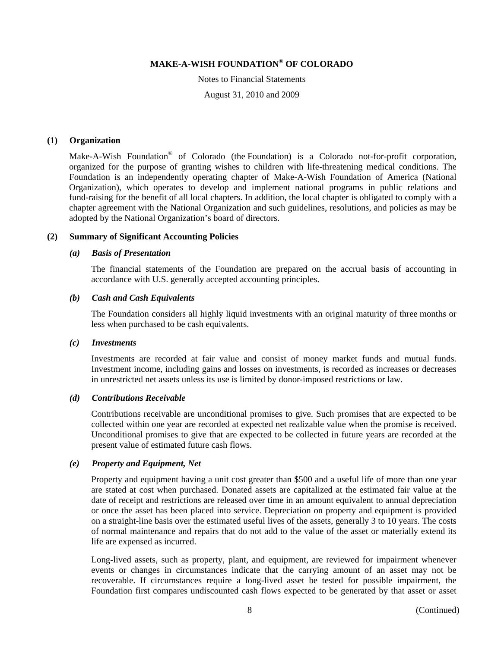Notes to Financial Statements August 31, 2010 and 2009

#### **(1) Organization**

Make-A-Wish Foundation® of Colorado (the Foundation) is a Colorado not-for-profit corporation, organized for the purpose of granting wishes to children with life-threatening medical conditions. The Foundation is an independently operating chapter of Make-A-Wish Foundation of America (National Organization), which operates to develop and implement national programs in public relations and fund-raising for the benefit of all local chapters. In addition, the local chapter is obligated to comply with a chapter agreement with the National Organization and such guidelines, resolutions, and policies as may be adopted by the National Organization's board of directors.

#### **(2) Summary of Significant Accounting Policies**

#### *(a) Basis of Presentation*

The financial statements of the Foundation are prepared on the accrual basis of accounting in accordance with U.S. generally accepted accounting principles.

#### *(b) Cash and Cash Equivalents*

The Foundation considers all highly liquid investments with an original maturity of three months or less when purchased to be cash equivalents.

#### *(c) Investments*

Investments are recorded at fair value and consist of money market funds and mutual funds. Investment income, including gains and losses on investments, is recorded as increases or decreases in unrestricted net assets unless its use is limited by donor-imposed restrictions or law.

#### *(d) Contributions Receivable*

Contributions receivable are unconditional promises to give. Such promises that are expected to be collected within one year are recorded at expected net realizable value when the promise is received. Unconditional promises to give that are expected to be collected in future years are recorded at the present value of estimated future cash flows.

#### *(e) Property and Equipment, Net*

Property and equipment having a unit cost greater than \$500 and a useful life of more than one year are stated at cost when purchased. Donated assets are capitalized at the estimated fair value at the date of receipt and restrictions are released over time in an amount equivalent to annual depreciation or once the asset has been placed into service. Depreciation on property and equipment is provided on a straight-line basis over the estimated useful lives of the assets, generally 3 to 10 years. The costs of normal maintenance and repairs that do not add to the value of the asset or materially extend its life are expensed as incurred.

Long-lived assets, such as property, plant, and equipment, are reviewed for impairment whenever events or changes in circumstances indicate that the carrying amount of an asset may not be recoverable. If circumstances require a long-lived asset be tested for possible impairment, the Foundation first compares undiscounted cash flows expected to be generated by that asset or asset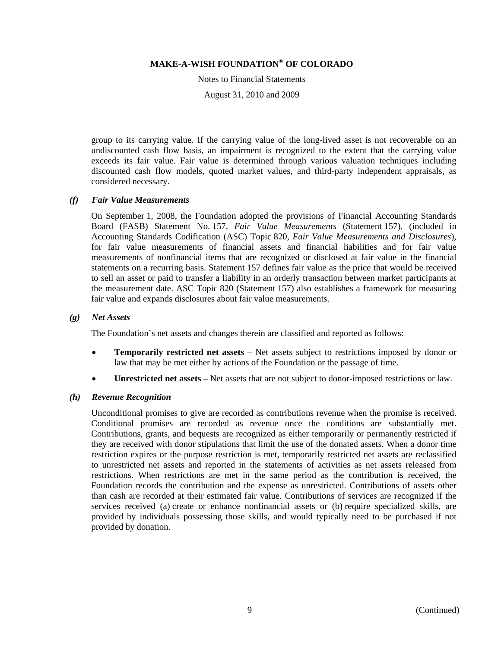Notes to Financial Statements

August 31, 2010 and 2009

group to its carrying value. If the carrying value of the long-lived asset is not recoverable on an undiscounted cash flow basis, an impairment is recognized to the extent that the carrying value exceeds its fair value. Fair value is determined through various valuation techniques including discounted cash flow models, quoted market values, and third-party independent appraisals, as considered necessary.

#### *(f) Fair Value Measurements*

On September 1, 2008, the Foundation adopted the provisions of Financial Accounting Standards Board (FASB) Statement No. 157, *Fair Value Measurements* (Statement 157), (included in Accounting Standards Codification (ASC) Topic 820, *Fair Value Measurements and Disclosures*), for fair value measurements of financial assets and financial liabilities and for fair value measurements of nonfinancial items that are recognized or disclosed at fair value in the financial statements on a recurring basis. Statement 157 defines fair value as the price that would be received to sell an asset or paid to transfer a liability in an orderly transaction between market participants at the measurement date. ASC Topic 820 (Statement 157) also establishes a framework for measuring fair value and expands disclosures about fair value measurements.

#### *(g) Net Assets*

The Foundation's net assets and changes therein are classified and reported as follows:

- **Temporarily restricted net assets** Net assets subject to restrictions imposed by donor or law that may be met either by actions of the Foundation or the passage of time.
- **Unrestricted net assets** Net assets that are not subject to donor-imposed restrictions or law.

#### *(h) Revenue Recognition*

Unconditional promises to give are recorded as contributions revenue when the promise is received. Conditional promises are recorded as revenue once the conditions are substantially met. Contributions, grants, and bequests are recognized as either temporarily or permanently restricted if they are received with donor stipulations that limit the use of the donated assets. When a donor time restriction expires or the purpose restriction is met, temporarily restricted net assets are reclassified to unrestricted net assets and reported in the statements of activities as net assets released from restrictions. When restrictions are met in the same period as the contribution is received, the Foundation records the contribution and the expense as unrestricted. Contributions of assets other than cash are recorded at their estimated fair value. Contributions of services are recognized if the services received (a) create or enhance nonfinancial assets or (b) require specialized skills, are provided by individuals possessing those skills, and would typically need to be purchased if not provided by donation.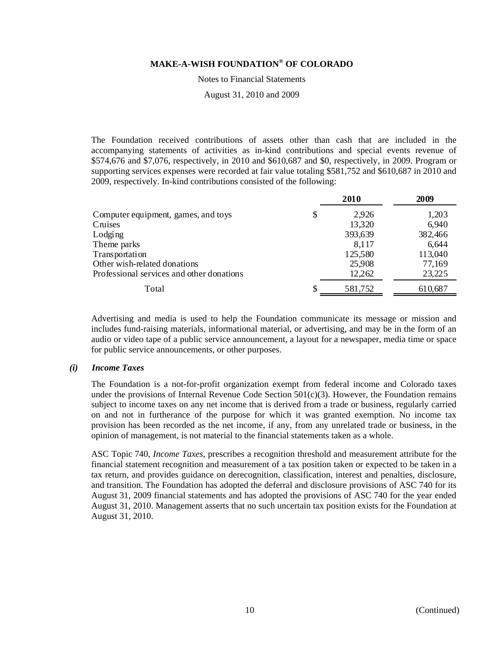Notes to Financial Statements

August 31, 2010 and 2009

The Foundation received contributions of assets other than cash that are included in the accompanying statements of activities as in-kind contributions and special events revenue of \$574,676 and \$7,076, respectively, in 2010 and \$610,687 and \$0, respectively, in 2009. Program or supporting services expenses were recorded at fair value totaling \$581,752 and \$610,687 in 2010 and 2009, respectively. In-kind contributions consisted of the following:

|                                           |    | 2009    |         |
|-------------------------------------------|----|---------|---------|
| Computer equipment, games, and toys       | \$ | 2.926   | 1,203   |
| Cruises                                   |    | 13,320  | 6,940   |
| Lodging                                   |    | 393,639 | 382,466 |
| Theme parks                               |    | 8,117   | 6,644   |
| Transportation                            |    | 125,580 | 113,040 |
| Other wish-related donations              |    | 25,908  | 77,169  |
| Professional services and other donations |    | 12,262  | 23,225  |
| Total                                     | \$ | 581,752 | 610,687 |

Advertising and media is used to help the Foundation communicate its message or mission and includes fund-raising materials, informational material, or advertising, and may be in the form of an audio or video tape of a public service announcement, a layout for a newspaper, media time or space for public service announcements, or other purposes.

#### *(i) Income Taxes*

The Foundation is a not-for-profit organization exempt from federal income and Colorado taxes under the provisions of Internal Revenue Code Section  $501(c)(3)$ . However, the Foundation remains subject to income taxes on any net income that is derived from a trade or business, regularly carried on and not in furtherance of the purpose for which it was granted exemption. No income tax provision has been recorded as the net income, if any, from any unrelated trade or business, in the opinion of management, is not material to the financial statements taken as a whole.

ASC Topic 740, *Income Taxes*, prescribes a recognition threshold and measurement attribute for the financial statement recognition and measurement of a tax position taken or expected to be taken in a tax return, and provides guidance on derecognition, classification, interest and penalties, disclosure, and transition. The Foundation has adopted the deferral and disclosure provisions of ASC 740 for its August 31, 2009 financial statements and has adopted the provisions of ASC 740 for the year ended August 31, 2010. Management asserts that no such uncertain tax position exists for the Foundation at August 31, 2010.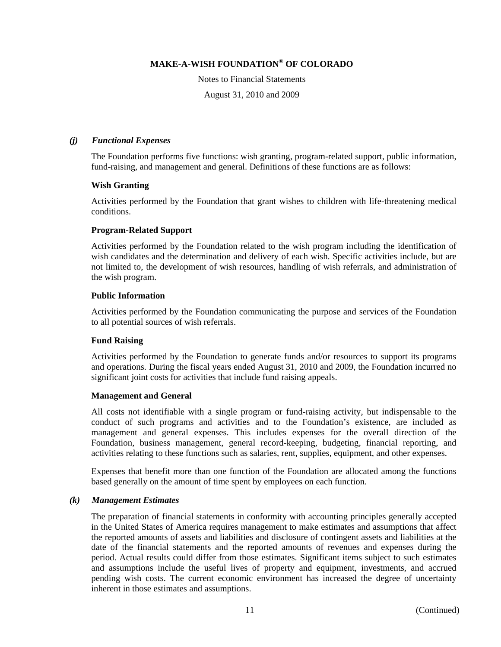Notes to Financial Statements

August 31, 2010 and 2009

#### *(j) Functional Expenses*

The Foundation performs five functions: wish granting, program-related support, public information, fund-raising, and management and general. Definitions of these functions are as follows:

#### **Wish Granting**

Activities performed by the Foundation that grant wishes to children with life-threatening medical conditions.

#### **Program-Related Support**

Activities performed by the Foundation related to the wish program including the identification of wish candidates and the determination and delivery of each wish. Specific activities include, but are not limited to, the development of wish resources, handling of wish referrals, and administration of the wish program.

#### **Public Information**

Activities performed by the Foundation communicating the purpose and services of the Foundation to all potential sources of wish referrals.

#### **Fund Raising**

Activities performed by the Foundation to generate funds and/or resources to support its programs and operations. During the fiscal years ended August 31, 2010 and 2009, the Foundation incurred no significant joint costs for activities that include fund raising appeals.

#### **Management and General**

All costs not identifiable with a single program or fund-raising activity, but indispensable to the conduct of such programs and activities and to the Foundation's existence, are included as management and general expenses. This includes expenses for the overall direction of the Foundation, business management, general record-keeping, budgeting, financial reporting, and activities relating to these functions such as salaries, rent, supplies, equipment, and other expenses.

Expenses that benefit more than one function of the Foundation are allocated among the functions based generally on the amount of time spent by employees on each function.

#### *(k) Management Estimates*

The preparation of financial statements in conformity with accounting principles generally accepted in the United States of America requires management to make estimates and assumptions that affect the reported amounts of assets and liabilities and disclosure of contingent assets and liabilities at the date of the financial statements and the reported amounts of revenues and expenses during the period. Actual results could differ from those estimates. Significant items subject to such estimates and assumptions include the useful lives of property and equipment, investments, and accrued pending wish costs. The current economic environment has increased the degree of uncertainty inherent in those estimates and assumptions.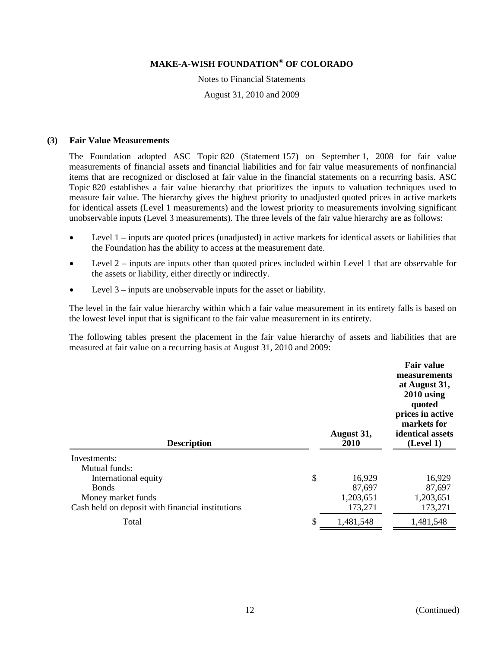Notes to Financial Statements August 31, 2010 and 2009

#### **(3) Fair Value Measurements**

The Foundation adopted ASC Topic 820 (Statement 157) on September 1, 2008 for fair value measurements of financial assets and financial liabilities and for fair value measurements of nonfinancial items that are recognized or disclosed at fair value in the financial statements on a recurring basis. ASC Topic 820 establishes a fair value hierarchy that prioritizes the inputs to valuation techniques used to measure fair value. The hierarchy gives the highest priority to unadjusted quoted prices in active markets for identical assets (Level 1 measurements) and the lowest priority to measurements involving significant unobservable inputs (Level 3 measurements). The three levels of the fair value hierarchy are as follows:

- Level 1 inputs are quoted prices (unadjusted) in active markets for identical assets or liabilities that the Foundation has the ability to access at the measurement date.
- Level 2 inputs are inputs other than quoted prices included within Level 1 that are observable for the assets or liability, either directly or indirectly.
- Level 3 inputs are unobservable inputs for the asset or liability.

The level in the fair value hierarchy within which a fair value measurement in its entirety falls is based on the lowest level input that is significant to the fair value measurement in its entirety.

The following tables present the placement in the fair value hierarchy of assets and liabilities that are measured at fair value on a recurring basis at August 31, 2010 and 2009:

| <b>Description</b>                               |    | August 31,<br>2010 | <b>Fair value</b><br>measurements<br>at August 31,<br>$2010$ using<br>quoted<br>prices in active<br>markets for<br>identical assets<br>(Level 1) |
|--------------------------------------------------|----|--------------------|--------------------------------------------------------------------------------------------------------------------------------------------------|
| Investments:                                     |    |                    |                                                                                                                                                  |
| Mutual funds:                                    |    |                    |                                                                                                                                                  |
| International equity                             | \$ | 16,929             | 16,929                                                                                                                                           |
| <b>Bonds</b>                                     |    | 87,697             | 87,697                                                                                                                                           |
| Money market funds                               |    | 1,203,651          | 1,203,651                                                                                                                                        |
| Cash held on deposit with financial institutions |    | 173,271            | 173,271                                                                                                                                          |
| Total                                            | S  | 1,481,548          | 1,481,548                                                                                                                                        |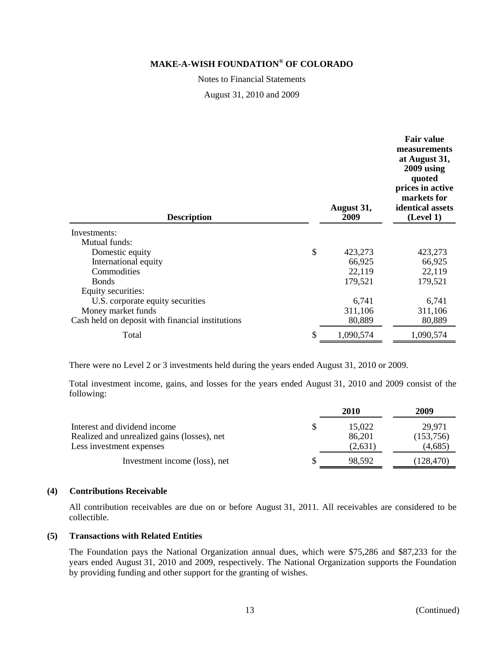Notes to Financial Statements

August 31, 2010 and 2009

| <b>Description</b>                               | August 31,<br>2009 | <b>Fair value</b><br>measurements<br>at August 31,<br>2009 using<br>quoted<br>prices in active<br>markets for<br>identical assets<br>(Level 1) |
|--------------------------------------------------|--------------------|------------------------------------------------------------------------------------------------------------------------------------------------|
| Investments:                                     |                    |                                                                                                                                                |
| Mutual funds:                                    |                    |                                                                                                                                                |
| Domestic equity                                  | \$<br>423,273      | 423,273                                                                                                                                        |
| International equity                             | 66,925             | 66,925                                                                                                                                         |
| Commodities                                      | 22,119             | 22,119                                                                                                                                         |
| <b>Bonds</b>                                     | 179,521            | 179,521                                                                                                                                        |
| Equity securities:                               |                    |                                                                                                                                                |
| U.S. corporate equity securities                 | 6,741              | 6,741                                                                                                                                          |
| Money market funds                               | 311,106            | 311,106                                                                                                                                        |
| Cash held on deposit with financial institutions | 80,889             | 80,889                                                                                                                                         |
| Total                                            | \$<br>1,090,574    | 1,090,574                                                                                                                                      |

There were no Level 2 or 3 investments held during the years ended August 31, 2010 or 2009.

Total investment income, gains, and losses for the years ended August 31, 2010 and 2009 consist of the following:

|                                                                                                         | 2010                        | 2009                           |
|---------------------------------------------------------------------------------------------------------|-----------------------------|--------------------------------|
| Interest and dividend income<br>Realized and unrealized gains (losses), net<br>Less investment expenses | 15.022<br>86,201<br>(2,631) | 29.971<br>(153,756)<br>(4,685) |
| Investment income (loss), net                                                                           | 98.592                      | (128, 470)                     |

#### **(4) Contributions Receivable**

All contribution receivables are due on or before August 31, 2011. All receivables are considered to be collectible.

#### **(5) Transactions with Related Entities**

The Foundation pays the National Organization annual dues, which were \$75,286 and \$87,233 for the years ended August 31, 2010 and 2009, respectively. The National Organization supports the Foundation by providing funding and other support for the granting of wishes.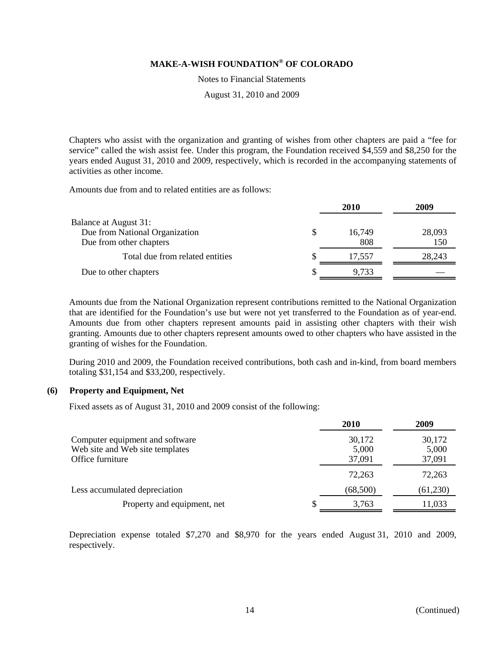Notes to Financial Statements

August 31, 2010 and 2009

Chapters who assist with the organization and granting of wishes from other chapters are paid a "fee for service" called the wish assist fee. Under this program, the Foundation received \$4,559 and \$8,250 for the years ended August 31, 2010 and 2009, respectively, which is recorded in the accompanying statements of activities as other income.

Amounts due from and to related entities are as follows:

|                                                                                    |    | 2010          | 2009          |
|------------------------------------------------------------------------------------|----|---------------|---------------|
| Balance at August 31:<br>Due from National Organization<br>Due from other chapters |    | 16.749<br>808 | 28,093<br>150 |
| Total due from related entities                                                    |    | 17.557        | 28,243        |
| Due to other chapters                                                              | Л. | 9,733         |               |

Amounts due from the National Organization represent contributions remitted to the National Organization that are identified for the Foundation's use but were not yet transferred to the Foundation as of year-end. Amounts due from other chapters represent amounts paid in assisting other chapters with their wish granting. Amounts due to other chapters represent amounts owed to other chapters who have assisted in the granting of wishes for the Foundation.

During 2010 and 2009, the Foundation received contributions, both cash and in-kind, from board members totaling \$31,154 and \$33,200, respectively.

#### **(6) Property and Equipment, Net**

Fixed assets as of August 31, 2010 and 2009 consist of the following:

|                                                                                        | 2010                      | 2009                      |
|----------------------------------------------------------------------------------------|---------------------------|---------------------------|
| Computer equipment and software<br>Web site and Web site templates<br>Office furniture | 30,172<br>5,000<br>37,091 | 30,172<br>5,000<br>37,091 |
|                                                                                        | 72,263                    | 72,263                    |
| Less accumulated depreciation                                                          | (68,500)                  | (61,230)                  |
| Property and equipment, net                                                            | 3,763<br>J)               | 11,033                    |

Depreciation expense totaled \$7,270 and \$8,970 for the years ended August 31, 2010 and 2009, respectively.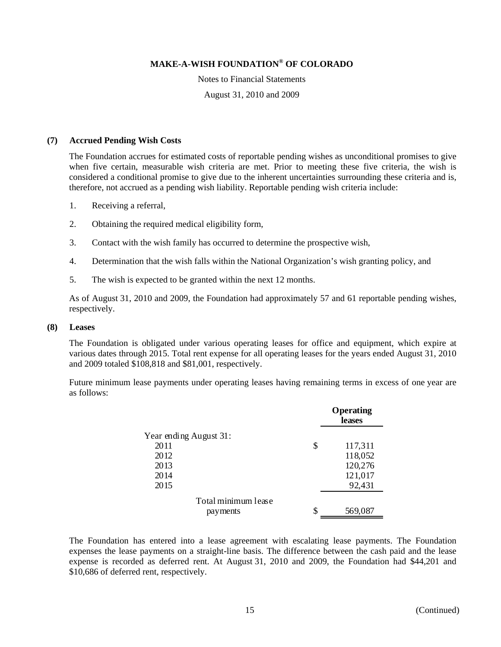Notes to Financial Statements

August 31, 2010 and 2009

#### **(7) Accrued Pending Wish Costs**

The Foundation accrues for estimated costs of reportable pending wishes as unconditional promises to give when five certain, measurable wish criteria are met. Prior to meeting these five criteria, the wish is considered a conditional promise to give due to the inherent uncertainties surrounding these criteria and is, therefore, not accrued as a pending wish liability. Reportable pending wish criteria include:

- 1. Receiving a referral,
- 2. Obtaining the required medical eligibility form,
- 3. Contact with the wish family has occurred to determine the prospective wish,
- 4. Determination that the wish falls within the National Organization's wish granting policy, and
- 5. The wish is expected to be granted within the next 12 months.

As of August 31, 2010 and 2009, the Foundation had approximately 57 and 61 reportable pending wishes, respectively.

#### **(8) Leases**

The Foundation is obligated under various operating leases for office and equipment, which expire at various dates through 2015. Total rent expense for all operating leases for the years ended August 31, 2010 and 2009 totaled \$108,818 and \$81,001, respectively.

Future minimum lease payments under operating leases having remaining terms in excess of one year are as follows:

|                        |    | Operating<br>leases |
|------------------------|----|---------------------|
| Year ending August 31: |    |                     |
| 2011                   | \$ | 117,311             |
| 2012                   |    | 118,052             |
| 2013                   |    | 120,276             |
| 2014                   |    | 121,017             |
| 2015                   |    | 92,431              |
| Total minimum lease    |    |                     |
| payments               | S  | 569,087             |

The Foundation has entered into a lease agreement with escalating lease payments. The Foundation expenses the lease payments on a straight-line basis. The difference between the cash paid and the lease expense is recorded as deferred rent. At August 31, 2010 and 2009, the Foundation had \$44,201 and \$10,686 of deferred rent, respectively.